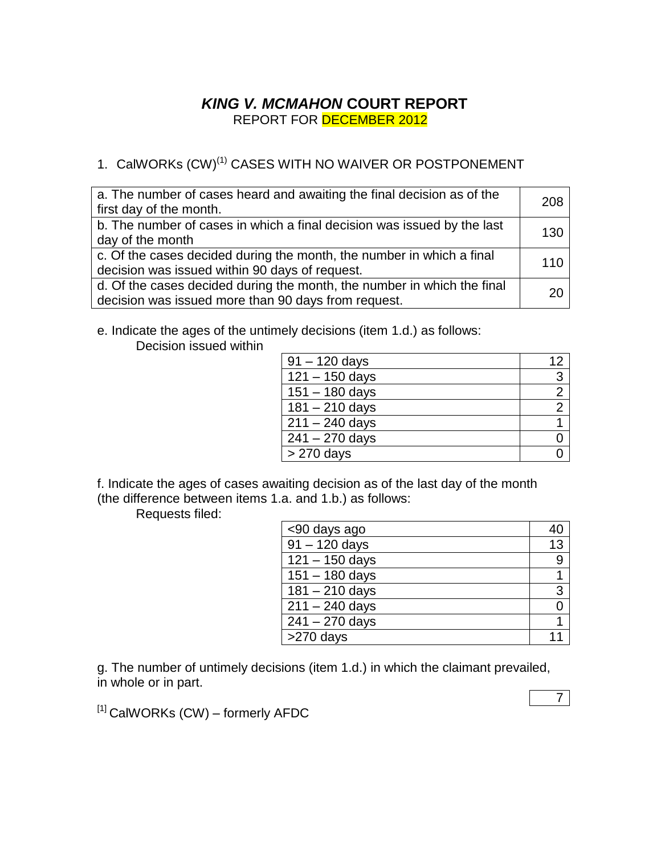## *KING V. MCMAHON* **COURT REPORT** REPORT FOR DECEMBER 2012

# 1. CalWORKs (CW)<sup>(1)</sup> CASES WITH NO WAIVER OR POSTPONEMENT

| a. The number of cases heard and awaiting the final decision as of the<br>first day of the month.                              | 208 |
|--------------------------------------------------------------------------------------------------------------------------------|-----|
| b. The number of cases in which a final decision was issued by the last<br>day of the month                                    | 130 |
| c. Of the cases decided during the month, the number in which a final<br>decision was issued within 90 days of request.        | 110 |
| d. Of the cases decided during the month, the number in which the final<br>decision was issued more than 90 days from request. |     |

e. Indicate the ages of the untimely decisions (item 1.d.) as follows: Decision issued within

| $91 - 120$ days  | 12 |
|------------------|----|
| $121 - 150$ days | 3  |
| $151 - 180$ days | 2  |
| $181 - 210$ days |    |
| $211 - 240$ days |    |
| $241 - 270$ days |    |
| $>270$ days      |    |

f. Indicate the ages of cases awaiting decision as of the last day of the month (the difference between items 1.a. and 1.b.) as follows:

Requests filed:

| <90 days ago     | 40 |
|------------------|----|
| $91 - 120$ days  | 13 |
| $121 - 150$ days | 9  |
| $151 - 180$ days |    |
| $181 - 210$ days | 3  |
| $211 - 240$ days |    |
| $241 - 270$ days |    |
| >270 days        |    |

g. The number of untimely decisions (item 1.d.) in which the claimant prevailed, in whole or in part.

 $[1]$  CalWORKs (CW) – formerly AFDC

7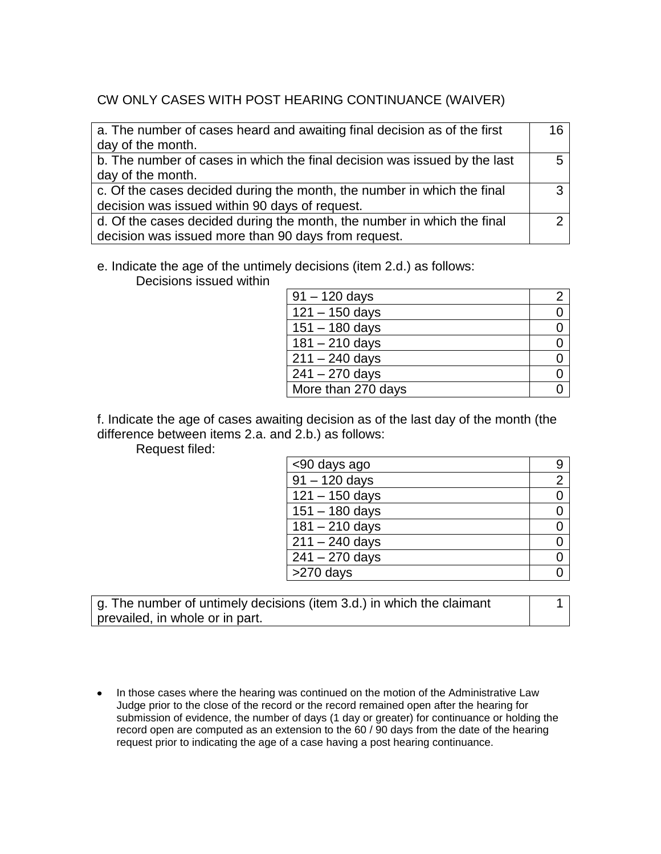## CW ONLY CASES WITH POST HEARING CONTINUANCE (WAIVER)

| a. The number of cases heard and awaiting final decision as of the first<br>day of the month. | 16 |
|-----------------------------------------------------------------------------------------------|----|
| b. The number of cases in which the final decision was issued by the last                     |    |
| day of the month.                                                                             |    |
| c. Of the cases decided during the month, the number in which the final                       | っ  |
| decision was issued within 90 days of request.                                                |    |
| d. Of the cases decided during the month, the number in which the final                       |    |
| decision was issued more than 90 days from request.                                           |    |

#### e. Indicate the age of the untimely decisions (item 2.d.) as follows:

Decisions issued within

| $91 - 120$ days    |  |
|--------------------|--|
| $121 - 150$ days   |  |
| $151 - 180$ days   |  |
| $181 - 210$ days   |  |
| $211 - 240$ days   |  |
| $241 - 270$ days   |  |
| More than 270 days |  |

f. Indicate the age of cases awaiting decision as of the last day of the month (the difference between items 2.a. and 2.b.) as follows:

Request filed:

| <90 days ago              | 9              |
|---------------------------|----------------|
| $\frac{1}{91} - 120$ days | $\overline{2}$ |
| $121 - 150$ days          |                |
| $151 - 180$ days          |                |
| $181 - 210$ days          |                |
| $211 - 240$ days          |                |
| $241 - 270$ days          |                |
| $>270$ days               |                |

g. The number of untimely decisions (item 3.d.) in which the claimant prevailed, in whole or in part.

1

• In those cases where the hearing was continued on the motion of the Administrative Law Judge prior to the close of the record or the record remained open after the hearing for submission of evidence, the number of days (1 day or greater) for continuance or holding the record open are computed as an extension to the 60 / 90 days from the date of the hearing request prior to indicating the age of a case having a post hearing continuance.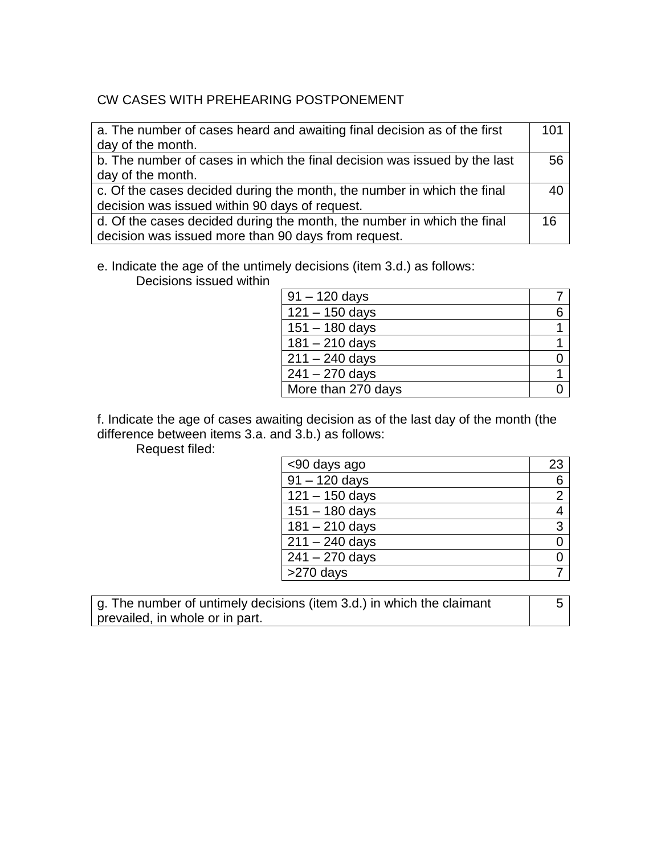## CW CASES WITH PREHEARING POSTPONEMENT

| a. The number of cases heard and awaiting final decision as of the first  | 101 |
|---------------------------------------------------------------------------|-----|
| day of the month.                                                         |     |
| b. The number of cases in which the final decision was issued by the last | 56  |
| day of the month.                                                         |     |
| c. Of the cases decided during the month, the number in which the final   |     |
| decision was issued within 90 days of request.                            |     |
| d. Of the cases decided during the month, the number in which the final   | 16  |
| decision was issued more than 90 days from request.                       |     |

e. Indicate the age of the untimely decisions (item 3.d.) as follows:

Decisions issued within

| $91 - 120$ days    |  |
|--------------------|--|
| $121 - 150$ days   |  |
| $151 - 180$ days   |  |
| $181 - 210$ days   |  |
| $211 - 240$ days   |  |
| $241 - 270$ days   |  |
| More than 270 days |  |

f. Indicate the age of cases awaiting decision as of the last day of the month (the difference between items 3.a. and 3.b.) as follows:

Request filed:

| <90 days ago     | 23             |
|------------------|----------------|
| $91 - 120$ days  | 6              |
| $121 - 150$ days | $\overline{2}$ |
| $151 - 180$ days | 4              |
| $181 - 210$ days | 3              |
| $211 - 240$ days | ი              |
| $241 - 270$ days |                |
| >270 days        |                |

g. The number of untimely decisions (item 3.d.) in which the claimant prevailed, in whole or in part.

5